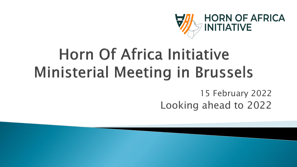

# Horn Of Africa Initiative **Ministerial Meeting in Brussels**

15 February 2022 Looking ahead to 2022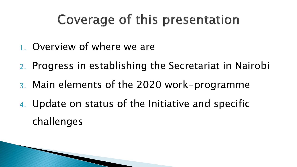## Coverage of this presentation

- 1. Overview of where we are
- 2. Progress in establishing the Secretariat in Nairobi
- 3. Main elements of the 2020 work-programme
- 4. Update on status of the Initiative and specific challenges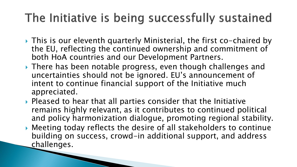#### The Initiative is being successfully sustained

- ▶ This is our eleventh quarterly Ministerial, the first co-chaired by the EU, reflecting the continued ownership and commitment of both HoA countries and our Development Partners.
- ▶ There has been notable progress, even though challenges and uncertainties should not be ignored. EU's announcement of intent to continue financial support of the Initiative much appreciated.
- $\triangleright$  Pleased to hear that all parties consider that the Initiative remains highly relevant, as it contributes to continued political and policy harmonization dialogue, promoting regional stability.
- Meeting today reflects the desire of all stakeholders to continue building on success, crowd-in additional support, and address challenges.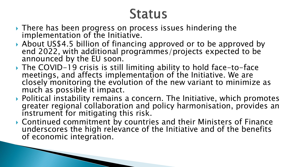### **Status**

- ▶ There has been progress on process issues hindering the implementation of the Initiative.
- ▶ About US\$4.5 billion of financing approved or to be approved by end 2022, with additional programmes/projects expected to be announced by the EU soon.
- ▶ The COVID-19 crisis is still limiting ability to hold face-to-face meetings, and affects implementation of the Initiative. We are closely monitoring the evolution of the new variant to minimize as much as possible it impact.
- ▶ Political instability remains a concern. The Initiative, which promotes greater regional collaboration and policy harmonisation, provides an instrument for mitigating this risk.
- Continued commitment by countries and their Ministers of Finance underscores the high relevance of the Initiative and of the benefits of economic integration.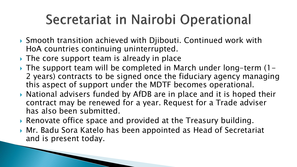# Secretariat in Nairobi Operational

- ▶ Smooth transition achieved with Djibouti. Continued work with HoA countries continuing uninterrupted.
- The core support team is already in place
- $\triangleright$  The support team will be completed in March under long-term (1-2 years) contracts to be signed once the fiduciary agency managing this aspect of support under the MDTF becomes operational.
- $\triangleright$  National advisers funded by AfDB are in place and it is hoped their contract may be renewed for a year. Request for a Trade adviser has also been submitted.
- ▶ Renovate office space and provided at the Treasury building.
- ▶ Mr. Badu Sora Katelo has been appointed as Head of Secretariat and is present today.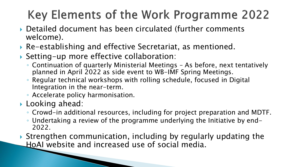### Key Elements of the Work Programme 2022

- ▶ Detailed document has been circulated (further comments welcome).
- Re-establishing and effective Secretariat, as mentioned.
- Setting-up more effective collaboration:
	- Continuation of quarterly Ministerial Meetings As before, next tentatively planned in April 2022 as side event to WB-IMF Spring Meetings.
	- Regular technical workshops with rolling schedule, focused in Digital Integration in the near-term.
	- Accelerate policy harmonisation.
- ▶ Looking ahead:
	- Crowd-in additional resources, including for project preparation and MDTF.
	- Undertaking a review of the programme underlying the Initiative by end-2022.

 Strengthen communication, including by regularly updating the HoAI website and increased use of social media.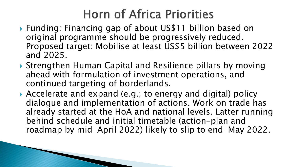#### **Horn of Africa Priorities**

- ▶ Funding: Financing gap of about US\$11 billion based on original programme should be progressively reduced. Proposed target: Mobilise at least US\$5 billion between 2022 and 2025.
- ▶ Strengthen Human Capital and Resilience pillars by moving ahead with formulation of investment operations, and continued targeting of borderlands.
- Accelerate and expand (e.g.; to energy and digital) policy dialogue and implementation of actions. Work on trade has already started at the HoA and national levels. Latter running behind schedule and initial timetable (action-plan and roadmap by mid-April 2022) likely to slip to end-May 2022.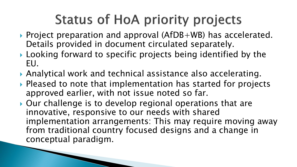# **Status of HoA priority projects**

- ▶ Project preparation and approval (AfDB+WB) has accelerated. Details provided in document circulated separately.
- ▶ Looking forward to specific projects being identified by the EU.
- Analytical work and technical assistance also accelerating.
- ▶ Pleased to note that implementation has started for projects approved earlier, with not issue noted so far.
- ▶ Our challenge is to develop regional operations that are innovative, responsive to our needs with shared implementation arrangements: This may require moving away from traditional country focused designs and a change in conceptual paradigm.